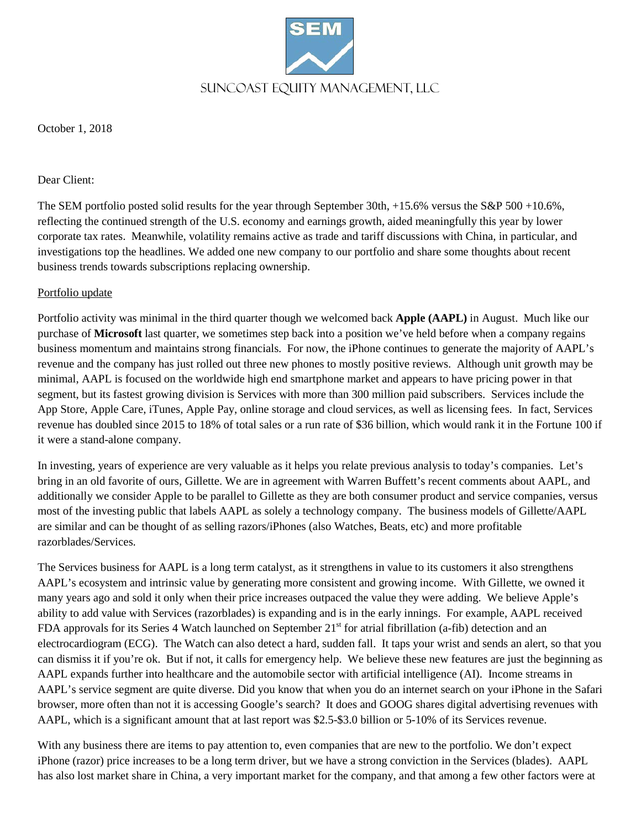

October 1, 2018

#### Dear Client:

The SEM portfolio posted solid results for the year through September 30th, +15.6% versus the S&P 500 +10.6%, reflecting the continued strength of the U.S. economy and earnings growth, aided meaningfully this year by lower corporate tax rates. Meanwhile, volatility remains active as trade and tariff discussions with China, in particular, and investigations top the headlines. We added one new company to our portfolio and share some thoughts about recent business trends towards subscriptions replacing ownership.

## Portfolio update

Portfolio activity was minimal in the third quarter though we welcomed back **Apple (AAPL)** in August. Much like our purchase of **Microsoft** last quarter, we sometimes step back into a position we've held before when a company regains business momentum and maintains strong financials. For now, the iPhone continues to generate the majority of AAPL's revenue and the company has just rolled out three new phones to mostly positive reviews. Although unit growth may be minimal, AAPL is focused on the worldwide high end smartphone market and appears to have pricing power in that segment, but its fastest growing division is Services with more than 300 million paid subscribers. Services include the App Store, Apple Care, iTunes, Apple Pay, online storage and cloud services, as well as licensing fees. In fact, Services revenue has doubled since 2015 to 18% of total sales or a run rate of \$36 billion, which would rank it in the Fortune 100 if it were a stand-alone company.

In investing, years of experience are very valuable as it helps you relate previous analysis to today's companies. Let's bring in an old favorite of ours, Gillette. We are in agreement with Warren Buffett's recent comments about AAPL, and additionally we consider Apple to be parallel to Gillette as they are both consumer product and service companies, versus most of the investing public that labels AAPL as solely a technology company. The business models of Gillette/AAPL are similar and can be thought of as selling razors/iPhones (also Watches, Beats, etc) and more profitable razorblades/Services.

The Services business for AAPL is a long term catalyst, as it strengthens in value to its customers it also strengthens AAPL's ecosystem and intrinsic value by generating more consistent and growing income. With Gillette, we owned it many years ago and sold it only when their price increases outpaced the value they were adding. We believe Apple's ability to add value with Services (razorblades) is expanding and is in the early innings. For example, AAPL received FDA approvals for its Series 4 Watch launched on September  $21<sup>st</sup>$  for atrial fibrillation (a-fib) detection and an electrocardiogram (ECG). The Watch can also detect a hard, sudden fall. It taps your wrist and sends an alert, so that you can dismiss it if you're ok. But if not, it calls for emergency help. We believe these new features are just the beginning as AAPL expands further into healthcare and the automobile sector with artificial intelligence (AI). Income streams in AAPL's service segment are quite diverse. Did you know that when you do an internet search on your iPhone in the Safari browser, more often than not it is accessing Google's search? It does and GOOG shares digital advertising revenues with AAPL, which is a significant amount that at last report was \$2.5-\$3.0 billion or 5-10% of its Services revenue.

With any business there are items to pay attention to, even companies that are new to the portfolio. We don't expect iPhone (razor) price increases to be a long term driver, but we have a strong conviction in the Services (blades). AAPL has also lost market share in China, a very important market for the company, and that among a few other factors were at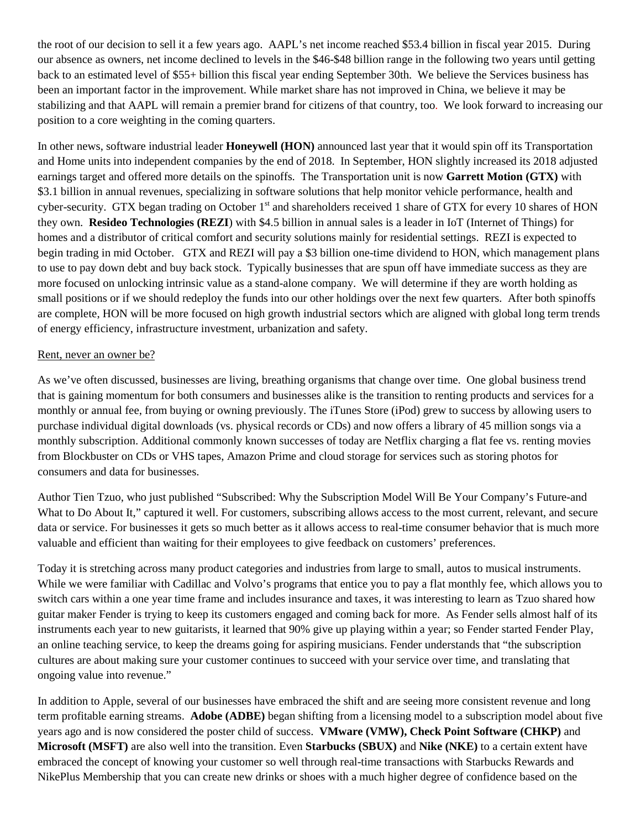the root of our decision to sell it a few years ago. AAPL's net income reached \$53.4 billion in fiscal year 2015. During our absence as owners, net income declined to levels in the \$46-\$48 billion range in the following two years until getting back to an estimated level of \$55+ billion this fiscal year ending September 30th. We believe the Services business has been an important factor in the improvement. While market share has not improved in China, we believe it may be stabilizing and that AAPL will remain a premier brand for citizens of that country, too. We look forward to increasing our position to a core weighting in the coming quarters.

In other news, software industrial leader **Honeywell (HON)** announced last year that it would spin off its Transportation and Home units into independent companies by the end of 2018. In September, HON slightly increased its 2018 adjusted earnings target and offered more details on the spinoffs. The Transportation unit is now **Garrett Motion (GTX)** with \$3.1 billion in annual revenues, specializing in software solutions that help monitor vehicle performance, health and cyber-security. GTX began trading on October 1<sup>st</sup> and shareholders received 1 share of GTX for every 10 shares of HON they own. **Resideo Technologies (REZI**) with \$4.5 billion in annual sales is a leader in IoT (Internet of Things) for homes and a distributor of critical comfort and security solutions mainly for residential settings. REZI is expected to begin trading in mid October. GTX and REZI will pay a \$3 billion one-time dividend to HON, which management plans to use to pay down debt and buy back stock. Typically businesses that are spun off have immediate success as they are more focused on unlocking intrinsic value as a stand-alone company. We will determine if they are worth holding as small positions or if we should redeploy the funds into our other holdings over the next few quarters. After both spinoffs are complete, HON will be more focused on high growth industrial sectors which are aligned with global long term trends of energy efficiency, infrastructure investment, urbanization and safety.

#### Rent, never an owner be?

As we've often discussed, businesses are living, breathing organisms that change over time. One global business trend that is gaining momentum for both consumers and businesses alike is the transition to renting products and services for a monthly or annual fee, from buying or owning previously. The iTunes Store (iPod) grew to success by allowing users to purchase individual digital downloads (vs. physical records or CDs) and now offers a library of 45 million songs via a monthly subscription. Additional commonly known successes of today are Netflix charging a flat fee vs. renting movies from Blockbuster on CDs or VHS tapes, Amazon Prime and cloud storage for services such as storing photos for consumers and data for businesses.

Author Tien Tzuo, who just published "Subscribed: Why the Subscription Model Will Be Your Company's Future-and What to Do About It," captured it well. For customers, subscribing allows access to the most current, relevant, and secure data or service. For businesses it gets so much better as it allows access to real-time consumer behavior that is much more valuable and efficient than waiting for their employees to give feedback on customers' preferences.

Today it is stretching across many product categories and industries from large to small, autos to musical instruments. While we were familiar with Cadillac and Volvo's programs that entice you to pay a flat monthly fee, which allows you to switch cars within a one year time frame and includes insurance and taxes, it was interesting to learn as Tzuo shared how guitar maker Fender is trying to keep its customers engaged and coming back for more. As Fender sells almost half of its instruments each year to new guitarists, it learned that 90% give up playing within a year; so Fender started Fender Play, an online teaching service, to keep the dreams going for aspiring musicians. Fender understands that "the subscription cultures are about making sure your customer continues to succeed with your service over time, and translating that ongoing value into revenue."

In addition to Apple, several of our businesses have embraced the shift and are seeing more consistent revenue and long term profitable earning streams. **Adobe (ADBE)** began shifting from a licensing model to a subscription model about five years ago and is now considered the poster child of success. **VMware (VMW), Check Point Software (CHKP)** and **Microsoft (MSFT)** are also well into the transition. Even **Starbucks (SBUX)** and **Nike (NKE)** to a certain extent have embraced the concept of knowing your customer so well through real-time transactions with Starbucks Rewards and NikePlus Membership that you can create new drinks or shoes with a much higher degree of confidence based on the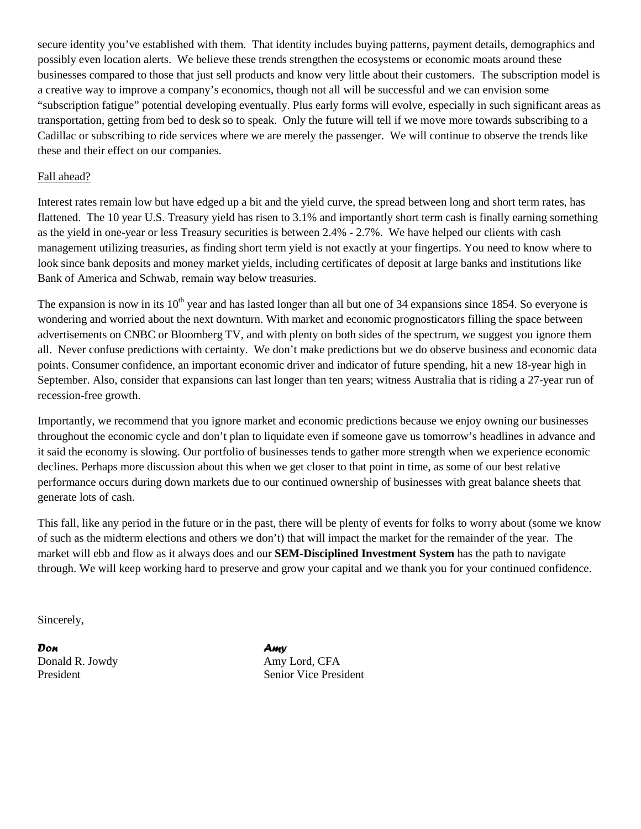secure identity you've established with them. That identity includes buying patterns, payment details, demographics and possibly even location alerts. We believe these trends strengthen the ecosystems or economic moats around these businesses compared to those that just sell products and know very little about their customers. The subscription model is a creative way to improve a company's economics, though not all will be successful and we can envision some "subscription fatigue" potential developing eventually. Plus early forms will evolve, especially in such significant areas as transportation, getting from bed to desk so to speak. Only the future will tell if we move more towards subscribing to a Cadillac or subscribing to ride services where we are merely the passenger. We will continue to observe the trends like these and their effect on our companies.

### Fall ahead?

Interest rates remain low but have edged up a bit and the yield curve, the spread between long and short term rates, has flattened. The 10 year U.S. Treasury yield has risen to 3.1% and importantly short term cash is finally earning something as the yield in one-year or less Treasury securities is between 2.4% - 2.7%. We have helped our clients with cash management utilizing treasuries, as finding short term yield is not exactly at your fingertips. You need to know where to look since bank deposits and money market yields, including certificates of deposit at large banks and institutions like Bank of America and Schwab, remain way below treasuries.

The expansion is now in its  $10<sup>th</sup>$  year and has lasted longer than all but one of 34 expansions since 1854. So everyone is wondering and worried about the next downturn. With market and economic prognosticators filling the space between advertisements on CNBC or Bloomberg TV, and with plenty on both sides of the spectrum, we suggest you ignore them all. Never confuse predictions with certainty. We don't make predictions but we do observe business and economic data points. Consumer confidence, an important economic driver and indicator of future spending, hit a new 18-year high in September. Also, consider that expansions can last longer than ten years; witness Australia that is riding a 27-year run of recession-free growth.

Importantly, we recommend that you ignore market and economic predictions because we enjoy owning our businesses throughout the economic cycle and don't plan to liquidate even if someone gave us tomorrow's headlines in advance and it said the economy is slowing. Our portfolio of businesses tends to gather more strength when we experience economic declines. Perhaps more discussion about this when we get closer to that point in time, as some of our best relative performance occurs during down markets due to our continued ownership of businesses with great balance sheets that generate lots of cash.

This fall, like any period in the future or in the past, there will be plenty of events for folks to worry about (some we know of such as the midterm elections and others we don't) that will impact the market for the remainder of the year. The market will ebb and flow as it always does and our **SEM-Disciplined Investment System** has the path to navigate through. We will keep working hard to preserve and grow your capital and we thank you for your continued confidence.

Sincerely,

*Don Amy* Donald R. Jowdy Amy Lord, CFA

President Senior Vice President